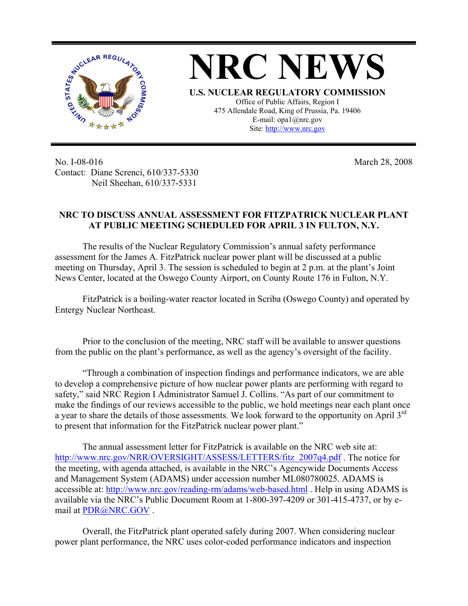



No. I-08-016 Contact: Diane Screnci, 610/337-5330 Neil Sheehan, 610/337-5331

March 28, 2008

## **NRC TO DISCUSS ANNUAL ASSESSMENT FOR FITZPATRICK NUCLEAR PLANT AT PUBLIC MEETING SCHEDULED FOR APRIL 3 IN FULTON, N.Y.**

The results of the Nuclear Regulatory Commission's annual safety performance assessment for the James A. FitzPatrick nuclear power plant will be discussed at a public meeting on Thursday, April 3. The session is scheduled to begin at 2 p.m. at the plant's Joint News Center, located at the Oswego County Airport, on County Route 176 in Fulton, N.Y.

FitzPatrick is a boiling-water reactor located in Scriba (Oswego County) and operated by Entergy Nuclear Northeast.

Prior to the conclusion of the meeting, NRC staff will be available to answer questions from the public on the plant's performance, as well as the agency's oversight of the facility.

"Through a combination of inspection findings and performance indicators, we are able to develop a comprehensive picture of how nuclear power plants are performing with regard to safety," said NRC Region I Administrator Samuel J. Collins. "As part of our commitment to make the findings of our reviews accessible to the public, we hold meetings near each plant once a year to share the details of those assessments. We look forward to the opportunity on April 3rd to present that information for the FitzPatrick nuclear power plant."

The annual assessment letter for FitzPatrick is available on the NRC web site at: [http://www.nrc.gov/NRR/OVERSIGHT/ASSESS/LETTERS/fitz\\_2007q4.pdf](http://www.nrc.gov/NRR/OVERSIGHT/ASSESS/LETTERS/fitz_2007q4.pdf). The notice for the meeting, with agenda attached, is available in the NRC's Agencywide Documents Access and Management System (ADAMS) under accession number ML080780025. ADAMS is accessible at: <http://www.nrc.gov/reading-rm/adams/web-based.html>. Help in using ADAMS is available via the NRC's Public Document Room at 1-800-397-4209 or 301-415-4737, or by email at [PDR@NRC.GOV](mailto:PDR@NRC.GOV) .

Overall, the FitzPatrick plant operated safely during 2007. When considering nuclear power plant performance, the NRC uses color-coded performance indicators and inspection